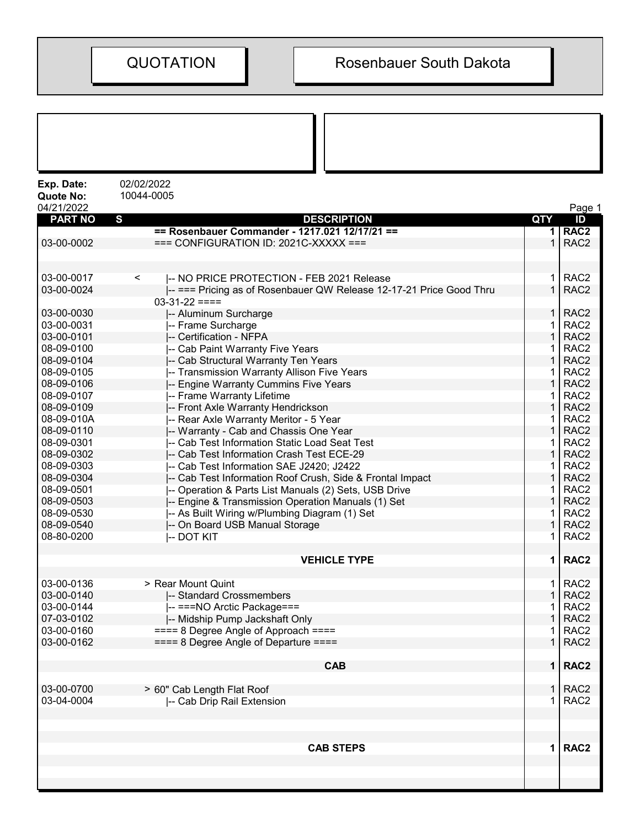| 02/02/2022<br>Exp. Date:<br>10044-0005<br>Quote No:<br>04/21/2022<br>$\mathbf{s}$<br><b>PART NO</b><br><b>DESCRIPTION</b><br>QTY<br>== Rosenbauer Commander - 1217.021 12/17/21 ==<br>1 <sup>1</sup><br>03-00-0002<br>$==$ CONFIGURATION ID: 2021C-XXXXX $==$<br>$\mathbf{1}$ | Page 1<br>ID<br>RAC <sub>2</sub> |
|-------------------------------------------------------------------------------------------------------------------------------------------------------------------------------------------------------------------------------------------------------------------------------|----------------------------------|
|                                                                                                                                                                                                                                                                               |                                  |
|                                                                                                                                                                                                                                                                               |                                  |
|                                                                                                                                                                                                                                                                               |                                  |
|                                                                                                                                                                                                                                                                               | RAC <sub>2</sub>                 |
|                                                                                                                                                                                                                                                                               |                                  |
| 03-00-0017<br>$\mathbf 1$<br> -- NO PRICE PROTECTION - FEB 2021 Release<br>$\,<\,$                                                                                                                                                                                            | RAC <sub>2</sub>                 |
| $\mathbf{1}$<br>03-00-0024<br> -- === Pricing as of Rosenbauer QW Release 12-17-21 Price Good Thru                                                                                                                                                                            | RAC <sub>2</sub>                 |
| $03-31-22 ==$                                                                                                                                                                                                                                                                 |                                  |
| 03-00-0030<br>$\mathbf{1}$<br>-- Aluminum Surcharge                                                                                                                                                                                                                           | RAC <sub>2</sub>                 |
| 03-00-0031<br>1<br>-- Frame Surcharge                                                                                                                                                                                                                                         | RAC <sub>2</sub>                 |
| 03-00-0101<br>$\mathbf 1$<br>-- Certification - NFPA                                                                                                                                                                                                                          | RAC <sub>2</sub>                 |
| 08-09-0100<br>-- Cab Paint Warranty Five Years<br>1                                                                                                                                                                                                                           | RAC <sub>2</sub>                 |
| 1<br>08-09-0104<br>-- Cab Structural Warranty Ten Years                                                                                                                                                                                                                       | RAC <sub>2</sub>                 |
| 08-09-0105<br>-- Transmission Warranty Allison Five Years<br>1.                                                                                                                                                                                                               | RAC <sub>2</sub>                 |
| $\mathbf{1}$<br>08-09-0106<br>-- Engine Warranty Cummins Five Years                                                                                                                                                                                                           | RAC <sub>2</sub>                 |
| 08-09-0107<br>-- Frame Warranty Lifetime<br>1.                                                                                                                                                                                                                                | RAC <sub>2</sub>                 |
| $\mathbf 1$<br>08-09-0109<br>-- Front Axle Warranty Hendrickson                                                                                                                                                                                                               | RAC <sub>2</sub>                 |
| 08-09-010A<br>-- Rear Axle Warranty Meritor - 5 Year<br>1                                                                                                                                                                                                                     | RAC <sub>2</sub>                 |
| 08-09-0110<br>-- Warranty - Cab and Chassis One Year<br>1                                                                                                                                                                                                                     | RAC <sub>2</sub>                 |
| 08-09-0301<br>-- Cab Test Information Static Load Seat Test<br>1                                                                                                                                                                                                              | RAC <sub>2</sub>                 |
| 1<br>08-09-0302<br>-- Cab Test Information Crash Test ECE-29                                                                                                                                                                                                                  | RAC <sub>2</sub>                 |
| 08-09-0303<br>-- Cab Test Information SAE J2420; J2422<br>1                                                                                                                                                                                                                   | RAC <sub>2</sub>                 |
| $\mathbf{1}$<br>08-09-0304<br>-- Cab Test Information Roof Crush, Side & Frontal Impact                                                                                                                                                                                       | RAC <sub>2</sub>                 |
| 08-09-0501<br>-- Operation & Parts List Manuals (2) Sets, USB Drive<br>1                                                                                                                                                                                                      | RAC <sub>2</sub>                 |
| $\mathbf 1$<br>08-09-0503<br>-- Engine & Transmission Operation Manuals (1) Set                                                                                                                                                                                               | RAC <sub>2</sub>                 |
| 08-09-0530<br>-- As Built Wiring w/Plumbing Diagram (1) Set<br>1                                                                                                                                                                                                              | RAC <sub>2</sub>                 |
| 08-09-0540<br>1<br>-- On Board USB Manual Storage                                                                                                                                                                                                                             | RAC <sub>2</sub>                 |
| 08-80-0200<br><b>-- DOT KIT</b><br>1.                                                                                                                                                                                                                                         | RAC <sub>2</sub>                 |
| <b>VEHICLE TYPE</b><br>$\mathbf 1$                                                                                                                                                                                                                                            | RAC <sub>2</sub>                 |
| 03-00-0136<br>> Rear Mount Quint                                                                                                                                                                                                                                              | $1$ RAC2                         |
| 03-00-0140<br>$\mathbf{1}$<br>-- Standard Crossmembers                                                                                                                                                                                                                        | RAC <sub>2</sub>                 |
| 03-00-0144<br>-- ===NO Arctic Package===<br>1.                                                                                                                                                                                                                                | RAC <sub>2</sub>                 |
| 07-03-0102<br>-- Midship Pump Jackshaft Only<br>$\mathbf{1}$                                                                                                                                                                                                                  | RAC <sub>2</sub>                 |
| 03-00-0160<br>$=== 8$ Degree Angle of Approach $===$<br>1                                                                                                                                                                                                                     | RAC <sub>2</sub>                 |
| 03-00-0162<br>$=== 8$ Degree Angle of Departure $===$<br>$\mathbf 1$                                                                                                                                                                                                          | RAC <sub>2</sub>                 |
| <b>CAB</b>                                                                                                                                                                                                                                                                    | 1   RAC2                         |
| 03-00-0700<br>> 60" Cab Length Flat Roof                                                                                                                                                                                                                                      | $1$ RAC2                         |
| 03-04-0004<br>$\mathbf 1$<br>-- Cab Drip Rail Extension                                                                                                                                                                                                                       | RAC <sub>2</sub>                 |
|                                                                                                                                                                                                                                                                               |                                  |
|                                                                                                                                                                                                                                                                               |                                  |
| <b>CAB STEPS</b>                                                                                                                                                                                                                                                              | 1   RAC2                         |
|                                                                                                                                                                                                                                                                               |                                  |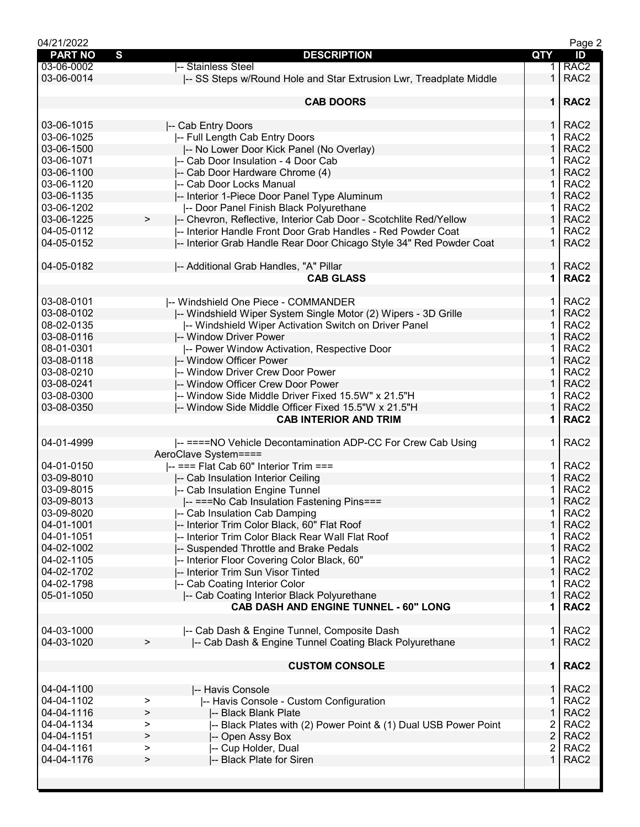|                |                                                                                |                         | Page 2           |
|----------------|--------------------------------------------------------------------------------|-------------------------|------------------|
| <b>PART NO</b> | S<br><b>DESCRIPTION</b>                                                        | QTY                     | ID               |
| 03-06-0002     | -- Stainless Steel                                                             | 1.                      | RAC <sub>2</sub> |
| 03-06-0014     | -- SS Steps w/Round Hole and Star Extrusion Lwr, Treadplate Middle             | 1.                      | RAC <sub>2</sub> |
|                |                                                                                |                         |                  |
|                | <b>CAB DOORS</b>                                                               | $\mathbf 1$             | RAC <sub>2</sub> |
|                |                                                                                |                         |                  |
| 03-06-1015     | -- Cab Entry Doors                                                             | $\mathbf{1}$            | RAC <sub>2</sub> |
| 03-06-1025     | -- Full Length Cab Entry Doors                                                 | 1                       | RAC <sub>2</sub> |
| 03-06-1500     |                                                                                | $\mathbf{1}$            | RAC <sub>2</sub> |
|                | -- No Lower Door Kick Panel (No Overlay)                                       |                         |                  |
| 03-06-1071     | I-- Cab Door Insulation - 4 Door Cab                                           |                         | RAC <sub>2</sub> |
| 03-06-1100     | -- Cab Door Hardware Chrome (4)                                                | 1                       | RAC <sub>2</sub> |
| 03-06-1120     | -- Cab Door Locks Manual                                                       | 1                       | RAC <sub>2</sub> |
| 03-06-1135     | -- Interior 1-Piece Door Panel Type Aluminum                                   | $\mathbf 1$             | RAC <sub>2</sub> |
| 03-06-1202     | -- Door Panel Finish Black Polyurethane                                        | 1                       | RAC <sub>2</sub> |
| 03-06-1225     | -- Chevron, Reflective, Interior Cab Door - Scotchlite Red/Yellow<br>$\, > \,$ | $\mathbf{1}$            | RAC <sub>2</sub> |
| 04-05-0112     | -- Interior Handle Front Door Grab Handles - Red Powder Coat                   | 1                       | RAC <sub>2</sub> |
| 04-05-0152     | -- Interior Grab Handle Rear Door Chicago Style 34" Red Powder Coat            | $\mathbf{1}$            | RAC <sub>2</sub> |
|                |                                                                                |                         |                  |
| 04-05-0182     | -- Additional Grab Handles, "A" Pillar                                         | 1.                      | RAC <sub>2</sub> |
|                | <b>CAB GLASS</b>                                                               | 1                       | RAC <sub>2</sub> |
|                |                                                                                |                         |                  |
| 03-08-0101     | -- Windshield One Piece - COMMANDER                                            | 1.                      | RAC <sub>2</sub> |
| 03-08-0102     |                                                                                | $\mathbf{1}$            | RAC <sub>2</sub> |
|                | -- Windshield Wiper System Single Motor (2) Wipers - 3D Grille                 |                         |                  |
| 08-02-0135     | -- Windshield Wiper Activation Switch on Driver Panel                          | 1                       | RAC <sub>2</sub> |
| 03-08-0116     | -- Window Driver Power                                                         | $\mathbf{1}$            | RAC <sub>2</sub> |
| 08-01-0301     | -- Power Window Activation, Respective Door                                    | 1                       | RAC <sub>2</sub> |
| 03-08-0118     | -- Window Officer Power                                                        | 1                       | RAC <sub>2</sub> |
| 03-08-0210     | -- Window Driver Crew Door Power                                               | 1                       | RAC <sub>2</sub> |
| 03-08-0241     | -- Window Officer Crew Door Power                                              | $\mathbf 1$             | RAC <sub>2</sub> |
| 03-08-0300     | -- Window Side Middle Driver Fixed 15.5W" x 21.5"H                             | 1                       | RAC <sub>2</sub> |
| 03-08-0350     | -- Window Side Middle Officer Fixed 15.5"W x 21.5"H                            | $\mathbf{1}$            | RAC <sub>2</sub> |
|                | <b>CAB INTERIOR AND TRIM</b>                                                   | 1                       | RAC <sub>2</sub> |
|                |                                                                                |                         |                  |
| 04-01-4999     | -- ====NO Vehicle Decontamination ADP-CC For Crew Cab Using                    | 1.                      | RAC <sub>2</sub> |
|                | AeroClave System====                                                           |                         |                  |
| 04-01-0150     | -- === Flat Cab 60" Interior Trim ===                                          | 1.                      | RAC <sub>2</sub> |
|                |                                                                                |                         |                  |
| 03-09-8010     | -- Cab Insulation Interior Ceiling                                             | $\mathbf{1}$            | RAC <sub>2</sub> |
| 03-09-8015     | -- Cab Insulation Engine Tunnel                                                |                         | RAC <sub>2</sub> |
| 03-09-8013     | -- ===No Cab Insulation Fastening Pins===                                      | $\mathbf 1$             | RAC <sub>2</sub> |
| 03-09-8020     | -- Cab Insulation Cab Damping                                                  | 1.                      | RAC <sub>2</sub> |
| 04-01-1001     | -- Interior Trim Color Black, 60" Flat Roof                                    | $\mathbf{1}$            | RAC <sub>2</sub> |
| 04-01-1051     | -- Interior Trim Color Black Rear Wall Flat Roof                               |                         |                  |
|                |                                                                                |                         | RAC <sub>2</sub> |
| 04-02-1002     |                                                                                | 1                       |                  |
|                | -- Suspended Throttle and Brake Pedals                                         | 1                       | RAC <sub>2</sub> |
| 04-02-1105     | -- Interior Floor Covering Color Black, 60"                                    |                         | RAC <sub>2</sub> |
| 04-02-1702     | -- Interior Trim Sun Visor Tinted                                              | 1                       | RAC <sub>2</sub> |
| 04-02-1798     | -- Cab Coating Interior Color                                                  | 1                       | RAC <sub>2</sub> |
| 05-01-1050     | -- Cab Coating Interior Black Polyurethane                                     | $\mathbf{1}$            | RAC <sub>2</sub> |
|                | <b>CAB DASH AND ENGINE TUNNEL - 60" LONG</b>                                   | 1                       | RAC <sub>2</sub> |
|                |                                                                                |                         |                  |
| 04-03-1000     | -- Cab Dash & Engine Tunnel, Composite Dash                                    | 1.                      | RAC <sub>2</sub> |
| 04-03-1020     | -- Cab Dash & Engine Tunnel Coating Black Polyurethane<br>$\, > \,$            | $\mathbf 1$             | RAC <sub>2</sub> |
|                |                                                                                |                         |                  |
|                | <b>CUSTOM CONSOLE</b>                                                          | 1 <sup>1</sup>          | RAC <sub>2</sub> |
|                |                                                                                |                         |                  |
| 04-04-1100     | -- Havis Console                                                               | $\mathbf 1$             | RAC <sub>2</sub> |
| 04-04-1102     | -- Havis Console - Custom Configuration<br>>                                   | 1                       | RAC <sub>2</sub> |
| 04-04-1116     | -- Black Blank Plate<br>>                                                      | $\mathbf{1}$            | RAC <sub>2</sub> |
| 04-04-1134     | -- Black Plates with (2) Power Point & (1) Dual USB Power Point<br>>           | 2                       | RAC <sub>2</sub> |
| 04-04-1151     | >                                                                              |                         |                  |
|                | -- Open Assy Box<br>>                                                          | $\overline{\mathbf{c}}$ | RAC <sub>2</sub> |
| 04-04-1161     | -- Cup Holder, Dual<br>>                                                       | 2<br>$\mathbf{1}$       | RAC <sub>2</sub> |
| 04-04-1176     | -- Black Plate for Siren                                                       |                         | RAC <sub>2</sub> |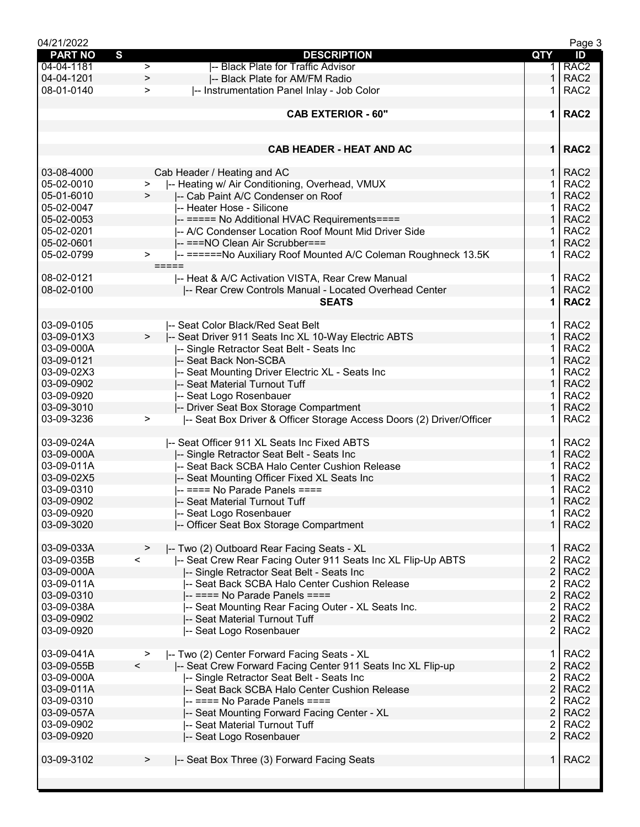| 04/21/2022     |           |                                                                      |                         | Page 3           |
|----------------|-----------|----------------------------------------------------------------------|-------------------------|------------------|
| <b>PART NO</b> | S         | <b>DESCRIPTION</b>                                                   | QTY                     | ID               |
| 04-04-1181     | $\geq$    | -- Black Plate for Traffic Advisor                                   | 1.                      | RAC <sub>2</sub> |
| 04-04-1201     | $\, > \,$ | -- Black Plate for AM/FM Radio                                       | 1                       | RAC <sub>2</sub> |
| 08-01-0140     | $\geq$    | -- Instrumentation Panel Inlay - Job Color                           | 1.                      | RAC <sub>2</sub> |
|                |           |                                                                      |                         |                  |
|                |           | <b>CAB EXTERIOR - 60"</b>                                            | 1 <sup>1</sup>          | RAC <sub>2</sub> |
|                |           |                                                                      |                         |                  |
|                |           |                                                                      |                         |                  |
|                |           |                                                                      |                         |                  |
|                |           | <b>CAB HEADER - HEAT AND AC</b>                                      | 1 <sup>1</sup>          | RAC <sub>2</sub> |
|                |           |                                                                      |                         |                  |
| 03-08-4000     |           | Cab Header / Heating and AC                                          | $\mathbf{1}$            | RAC <sub>2</sub> |
| 05-02-0010     | $\, > \,$ | -- Heating w/ Air Conditioning, Overhead, VMUX                       |                         | RAC <sub>2</sub> |
| 05-01-6010     | $\geq$    | -- Cab Paint A/C Condenser on Roof                                   | 1                       | RAC <sub>2</sub> |
| 05-02-0047     |           | -- Heater Hose - Silicone                                            | 1                       | RAC <sub>2</sub> |
| 05-02-0053     |           | -- ===== No Additional HVAC Requirements====                         | 1                       | RAC <sub>2</sub> |
| 05-02-0201     |           | -- A/C Condenser Location Roof Mount Mid Driver Side                 | 1.                      | RAC <sub>2</sub> |
| 05-02-0601     |           |                                                                      | $\mathbf{1}$            | RAC <sub>2</sub> |
|                |           | -- ===NO Clean Air Scrubber===                                       |                         |                  |
| 05-02-0799     | >         | -- ======No Auxiliary Roof Mounted A/C Coleman Roughneck 13.5K       | 1                       | RAC <sub>2</sub> |
|                |           | =====                                                                |                         |                  |
| 08-02-0121     |           | -- Heat & A/C Activation VISTA, Rear Crew Manual                     | 1.                      | RAC <sub>2</sub> |
| 08-02-0100     |           | -- Rear Crew Controls Manual - Located Overhead Center               | 1                       | RAC <sub>2</sub> |
|                |           | <b>SEATS</b>                                                         | 1                       | RAC <sub>2</sub> |
|                |           |                                                                      |                         |                  |
| 03-09-0105     |           | I-- Seat Color Black/Red Seat Belt                                   | 1.                      | RAC <sub>2</sub> |
| 03-09-01X3     | $\,>$     | -- Seat Driver 911 Seats Inc XL 10-Way Electric ABTS                 | $\mathbf{1}$            | RAC <sub>2</sub> |
| 03-09-000A     |           | -- Single Retractor Seat Belt - Seats Inc                            | 1                       | RAC <sub>2</sub> |
| 03-09-0121     |           | -- Seat Back Non-SCBA                                                | 1                       | RAC <sub>2</sub> |
| 03-09-02X3     |           |                                                                      | 1                       | RAC <sub>2</sub> |
|                |           | -- Seat Mounting Driver Electric XL - Seats Inc                      |                         |                  |
| 03-09-0902     |           | -- Seat Material Turnout Tuff                                        | 1                       | RAC <sub>2</sub> |
| 03-09-0920     |           | -- Seat Logo Rosenbauer                                              | 1                       | RAC <sub>2</sub> |
| 03-09-3010     |           | -- Driver Seat Box Storage Compartment                               | 1                       | RAC <sub>2</sub> |
| 03-09-3236     | >         | -- Seat Box Driver & Officer Storage Access Doors (2) Driver/Officer | 1                       | RAC <sub>2</sub> |
|                |           |                                                                      |                         |                  |
| 03-09-024A     |           | -- Seat Officer 911 XL Seats Inc Fixed ABTS                          | 1.                      | RAC <sub>2</sub> |
| 03-09-000A     |           | -- Single Retractor Seat Belt - Seats Inc                            | $\mathbf{1}$            | RAC <sub>2</sub> |
| 03-09-011A     |           | -- Seat Back SCBA Halo Center Cushion Release                        | 1                       | RAC <sub>2</sub> |
| 03-09-02X5     |           | -- Seat Mounting Officer Fixed XL Seats Inc                          | 1                       | RAC <sub>2</sub> |
| 03-09-0310     |           | $-$ ==== No Parade Panels ====                                       |                         | RAC <sub>2</sub> |
| 03-09-0902     |           | -- Seat Material Turnout Tuff                                        | $\mathbf{1}$            | RAC <sub>2</sub> |
| 03-09-0920     |           | -- Seat Logo Rosenbauer                                              | $\mathbf{1}$            | RAC <sub>2</sub> |
| 03-09-3020     |           |                                                                      | $\mathbf{1}$            | RAC <sub>2</sub> |
|                |           | -- Officer Seat Box Storage Compartment                              |                         |                  |
|                |           |                                                                      |                         |                  |
| 03-09-033A     | >         | -- Two (2) Outboard Rear Facing Seats - XL                           | $\mathbf{1}$            | RAC <sub>2</sub> |
| 03-09-035B     | $\lt$     | -- Seat Crew Rear Facing Outer 911 Seats Inc XL Flip-Up ABTS         | 2                       | RAC <sub>2</sub> |
| 03-09-000A     |           | -- Single Retractor Seat Belt - Seats Inc                            | $\overline{\mathbf{c}}$ | RAC <sub>2</sub> |
| 03-09-011A     |           | -- Seat Back SCBA Halo Center Cushion Release                        | 2                       | RAC <sub>2</sub> |
| 03-09-0310     |           | -- ==== No Parade Panels ====                                        | $\overline{2}$          | RAC <sub>2</sub> |
| 03-09-038A     |           | -- Seat Mounting Rear Facing Outer - XL Seats Inc.                   | $\overline{2}$          | RAC <sub>2</sub> |
| 03-09-0902     |           | -- Seat Material Turnout Tuff                                        | $\overline{2}$          | RAC <sub>2</sub> |
| 03-09-0920     |           | -- Seat Logo Rosenbauer                                              | 2                       | RAC <sub>2</sub> |
|                |           |                                                                      |                         |                  |
| 03-09-041A     | >         | -- Two (2) Center Forward Facing Seats - XL                          | 1.                      | RAC <sub>2</sub> |
| 03-09-055B     | $\lt$     | -- Seat Crew Forward Facing Center 911 Seats Inc XL Flip-up          | $\overline{2}$          | RAC <sub>2</sub> |
| 03-09-000A     |           | -- Single Retractor Seat Belt - Seats Inc                            | 2                       | RAC <sub>2</sub> |
| 03-09-011A     |           | -- Seat Back SCBA Halo Center Cushion Release                        | $\overline{2}$          | RAC <sub>2</sub> |
| 03-09-0310     |           | -- ==== No Parade Panels ====                                        | $\overline{2}$          | RAC <sub>2</sub> |
|                |           |                                                                      |                         |                  |
| 03-09-057A     |           | -- Seat Mounting Forward Facing Center - XL                          | $\overline{2}$          | RAC <sub>2</sub> |
| 03-09-0902     |           | -- Seat Material Turnout Tuff                                        | $\overline{2}$          | RAC <sub>2</sub> |
| 03-09-0920     |           | -- Seat Logo Rosenbauer                                              | $\overline{2}$          | RAC <sub>2</sub> |
|                |           |                                                                      |                         |                  |
| 03-09-3102     | >         | -- Seat Box Three (3) Forward Facing Seats                           | 1 <sup>1</sup>          | RAC <sub>2</sub> |
|                |           |                                                                      |                         |                  |
|                |           |                                                                      |                         |                  |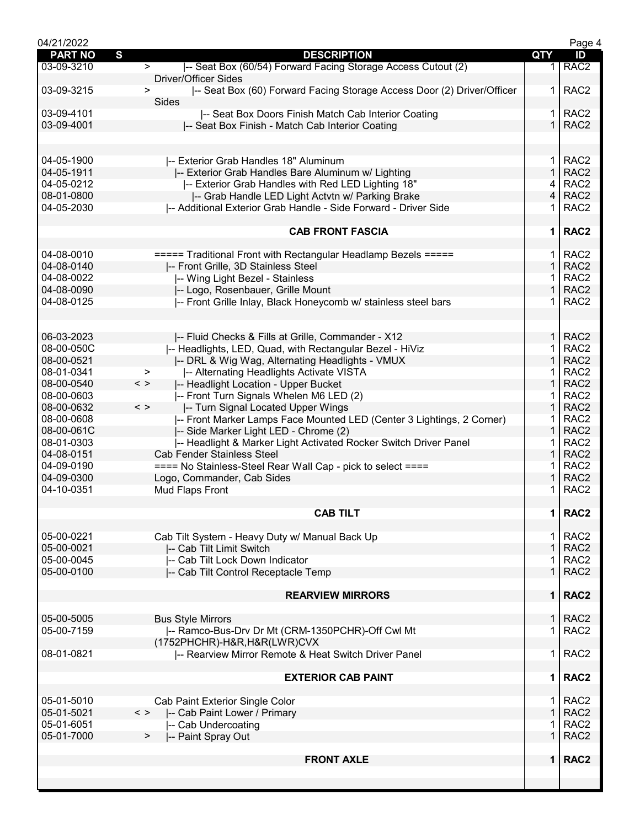| S<br><b>PART NO</b><br><b>DESCRIPTION</b>                                                                      | <b>QTY</b>     | ID               |
|----------------------------------------------------------------------------------------------------------------|----------------|------------------|
| -- Seat Box (60/54) Forward Facing Storage Access Cutout (2)<br>03-09-3210<br>><br><b>Driver/Officer Sides</b> | 1.             | RAC <sub>2</sub> |
| 03-09-3215<br> -- Seat Box (60) Forward Facing Storage Access Door (2) Driver/Officer<br>>                     | 1.             | RAC <sub>2</sub> |
| Sides                                                                                                          |                |                  |
| 03-09-4101<br>-- Seat Box Doors Finish Match Cab Interior Coating                                              | 1              | RAC <sub>2</sub> |
| 03-09-4001<br>-- Seat Box Finish - Match Cab Interior Coating                                                  | $\mathbf{1}$   | RAC <sub>2</sub> |
|                                                                                                                |                |                  |
| 04-05-1900<br>-- Exterior Grab Handles 18" Aluminum                                                            | $\mathbf{1}$   | RAC <sub>2</sub> |
| 04-05-1911<br>-- Exterior Grab Handles Bare Aluminum w/ Lighting                                               | $\mathbf{1}$   | RAC <sub>2</sub> |
| 04-05-0212<br>I-- Exterior Grab Handles with Red LED Lighting 18"                                              | 4              | RAC <sub>2</sub> |
| 08-01-0800<br>-- Grab Handle LED Light Actvtn w/ Parking Brake                                                 | 4              | RAC <sub>2</sub> |
|                                                                                                                |                |                  |
| 04-05-2030<br>-- Additional Exterior Grab Handle - Side Forward - Driver Side                                  | 1              | RAC <sub>2</sub> |
| <b>CAB FRONT FASCIA</b>                                                                                        | 1 <sup>1</sup> | RAC <sub>2</sub> |
| 04-08-0010<br>===== Traditional Front with Rectangular Headlamp Bezels =====                                   | $\mathbf{1}$   | RAC <sub>2</sub> |
| 04-08-0140<br>-- Front Grille, 3D Stainless Steel                                                              | $\mathbf 1$    | RAC <sub>2</sub> |
| 04-08-0022<br>-- Wing Light Bezel - Stainless                                                                  |                | RAC <sub>2</sub> |
| 04-08-0090<br>-- Logo, Rosenbauer, Grille Mount                                                                | 1              | RAC <sub>2</sub> |
| 04-08-0125                                                                                                     |                | RAC <sub>2</sub> |
| -- Front Grille Inlay, Black Honeycomb w/ stainless steel bars                                                 |                |                  |
| 06-03-2023                                                                                                     | 1 <sup>1</sup> | RAC <sub>2</sub> |
| -- Fluid Checks & Fills at Grille, Commander - X12                                                             |                |                  |
| 08-00-050C<br>-- Headlights, LED, Quad, with Rectangular Bezel - HiViz                                         | 1.             | RAC <sub>2</sub> |
| 08-00-0521<br>-- DRL & Wig Wag, Alternating Headlights - VMUX                                                  | 1.             | RAC <sub>2</sub> |
| 08-01-0341<br>-- Alternating Headlights Activate VISTA<br>>                                                    |                | RAC <sub>2</sub> |
| 08-00-0540<br>$\langle$ $>$<br>-- Headlight Location - Upper Bucket                                            | 1              | RAC <sub>2</sub> |
| 08-00-0603<br>I-- Front Turn Signals Whelen M6 LED (2)                                                         | 1.             | RAC <sub>2</sub> |
| 08-00-0632<br>$\langle$ ><br>-- Turn Signal Located Upper Wings                                                | $\mathbf 1$    | RAC <sub>2</sub> |
| 08-00-0608<br> -- Front Marker Lamps Face Mounted LED (Center 3 Lightings, 2 Corner)                           | 1.             | RAC <sub>2</sub> |
| 08-00-061C<br>-- Side Marker Light LED - Chrome (2)                                                            | $\mathbf{1}$   | RAC <sub>2</sub> |
| 08-01-0303<br>-- Headlight & Marker Light Activated Rocker Switch Driver Panel                                 | 1.             | RAC <sub>2</sub> |
| 04-08-0151<br><b>Cab Fender Stainless Steel</b>                                                                | 1.             | RAC <sub>2</sub> |
| 04-09-0190<br>==== No Stainless-Steel Rear Wall Cap - pick to select ====                                      |                | RAC <sub>2</sub> |
|                                                                                                                | 1              | RAC <sub>2</sub> |
| 04-09-0300<br>Logo, Commander, Cab Sides                                                                       |                |                  |
| 04-10-0351<br>Mud Flaps Front                                                                                  |                | RAC <sub>2</sub> |
| <b>CAB TILT</b>                                                                                                | $\mathbf 1$    | RAC <sub>2</sub> |
| 05-00-0221<br>Cab Tilt System - Heavy Duty w/ Manual Back Up                                                   | $\mathbf{1}$   | RAC <sub>2</sub> |
| 05-00-0021<br>-- Cab Tilt Limit Switch                                                                         | $\mathbf{1}$   | RAC <sub>2</sub> |
| 05-00-0045<br>-- Cab Tilt Lock Down Indicator                                                                  |                | RAC <sub>2</sub> |
| 05-00-0100<br>-- Cab Tilt Control Receptacle Temp                                                              | 1.             | RAC <sub>2</sub> |
| <b>REARVIEW MIRRORS</b>                                                                                        | 1 <sup>1</sup> | RAC <sub>2</sub> |
|                                                                                                                |                |                  |
| 05-00-5005<br><b>Bus Style Mirrors</b>                                                                         | 1 <sup>1</sup> | RAC <sub>2</sub> |
| 05-00-7159<br> -- Ramco-Bus-Drv Dr Mt (CRM-1350PCHR)-Off Cwl Mt                                                | 1              | RAC <sub>2</sub> |
| (1752PHCHR)-H&R, H&R(LWR)CVX                                                                                   |                |                  |
| -- Rearview Mirror Remote & Heat Switch Driver Panel<br>08-01-0821                                             | 1.             | RAC <sub>2</sub> |
| <b>EXTERIOR CAB PAINT</b>                                                                                      | 1              | RAC <sub>2</sub> |
| 05-01-5010<br>Cab Paint Exterior Single Color                                                                  | $\mathbf 1$    | RAC <sub>2</sub> |
| 05-01-5021<br>-- Cab Paint Lower / Primary<br>$\langle$ >                                                      | $\mathbf{1}$   | RAC <sub>2</sub> |
| 05-01-6051<br>-- Cab Undercoating                                                                              | 1.             | RAC <sub>2</sub> |
| 05-01-7000<br>>                                                                                                | 1              | RAC <sub>2</sub> |
| -- Paint Spray Out                                                                                             |                |                  |
| <b>FRONT AXLE</b>                                                                                              | 1              | RAC <sub>2</sub> |
|                                                                                                                |                |                  |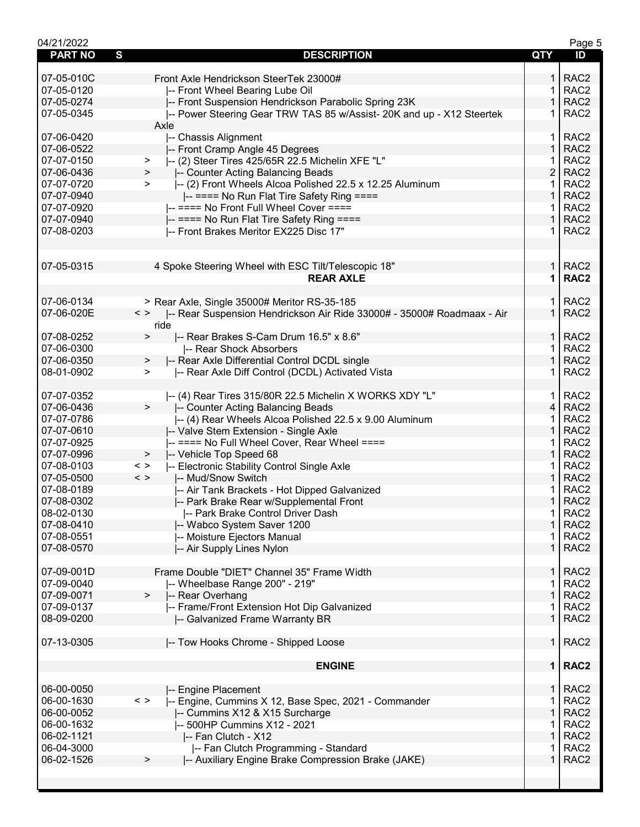| 04/21/2022                     |                                                                                        |                | Page 5           |
|--------------------------------|----------------------------------------------------------------------------------------|----------------|------------------|
| $\mathbf{s}$<br><b>PART NO</b> | <b>DESCRIPTION</b>                                                                     | QTY            | ID               |
|                                |                                                                                        |                |                  |
| 07-05-010C                     | Front Axle Hendrickson SteerTek 23000#                                                 | 1.             | RAC <sub>2</sub> |
| 07-05-0120                     | -- Front Wheel Bearing Lube Oil                                                        | 1.             | RAC <sub>2</sub> |
| 07-05-0274                     | -- Front Suspension Hendrickson Parabolic Spring 23K                                   | 1              | RAC <sub>2</sub> |
| 07-05-0345                     | -- Power Steering Gear TRW TAS 85 w/Assist- 20K and up - X12 Steertek                  | 1.             | RAC <sub>2</sub> |
|                                | Axle                                                                                   |                |                  |
| 07-06-0420                     | -- Chassis Alignment                                                                   | $\mathbf{1}$   | RAC <sub>2</sub> |
| 07-06-0522                     | -- Front Cramp Angle 45 Degrees                                                        | 1              | RAC <sub>2</sub> |
| 07-07-0150                     | -- (2) Steer Tires 425/65R 22.5 Michelin XFE "L"<br>$\, >$                             |                | RAC <sub>2</sub> |
| 07-06-0436                     | -- Counter Acting Balancing Beads<br>$\geq$                                            | 2              | RAC <sub>2</sub> |
| 07-07-0720                     | I-- (2) Front Wheels Alcoa Polished 22.5 x 12.25 Aluminum<br>$\geq$                    | 1.             | RAC <sub>2</sub> |
| 07-07-0940                     | -- ==== No Run Flat Tire Safety Ring ====                                              | $\mathbf 1$    | RAC <sub>2</sub> |
| 07-07-0920                     | -- ==== No Front Full Wheel Cover ====                                                 | 1.             | RAC <sub>2</sub> |
| 07-07-0940                     | -- ==== No Run Flat Tire Safety Ring ====                                              | $\mathbf{1}$   | RAC <sub>2</sub> |
| 07-08-0203                     | -- Front Brakes Meritor EX225 Disc 17"                                                 | 1.             | RAC <sub>2</sub> |
|                                |                                                                                        |                |                  |
|                                |                                                                                        |                |                  |
| 07-05-0315                     | 4 Spoke Steering Wheel with ESC Tilt/Telescopic 18"                                    | 1.             | RAC <sub>2</sub> |
|                                | <b>REAR AXLE</b>                                                                       | 1              | RAC <sub>2</sub> |
|                                |                                                                                        |                |                  |
| 07-06-0134                     | > Rear Axle, Single 35000# Meritor RS-35-185                                           | 1 <sup>1</sup> | RAC <sub>2</sub> |
| 07-06-020E                     | $\langle$ ><br>I-- Rear Suspension Hendrickson Air Ride 33000# - 35000# Roadmaax - Air | $\mathbf{1}$   | RAC <sub>2</sub> |
|                                | ride                                                                                   |                |                  |
| 07-08-0252                     | -- Rear Brakes S-Cam Drum 16.5" x 8.6"<br>$\geq$                                       | $\mathbf{1}$   | RAC <sub>2</sub> |
| 07-06-0300                     |                                                                                        | 1              | RAC <sub>2</sub> |
| 07-06-0350                     | -- Rear Shock Absorbers                                                                | 1              | RAC <sub>2</sub> |
| 08-01-0902                     | -- Rear Axle Differential Control DCDL single<br>>                                     | 1              | RAC <sub>2</sub> |
|                                | -- Rear Axle Diff Control (DCDL) Activated Vista<br>>                                  |                |                  |
|                                |                                                                                        |                |                  |
| 07-07-0352                     | -- (4) Rear Tires 315/80R 22.5 Michelin X WORKS XDY "L"                                | $\mathbf 1$    | RAC <sub>2</sub> |
| 07-06-0436                     | $\geq$<br>-- Counter Acting Balancing Beads                                            | $\overline{4}$ | RAC <sub>2</sub> |
| 07-07-0786                     | I-- (4) Rear Wheels Alcoa Polished 22.5 x 9.00 Aluminum                                | 1              | RAC <sub>2</sub> |
| 07-07-0610                     | -- Valve Stem Extension - Single Axle                                                  | 1              | RAC <sub>2</sub> |
| 07-07-0925                     | -- ==== No Full Wheel Cover, Rear Wheel ====                                           | 1              | RAC <sub>2</sub> |
| 07-07-0996                     | -- Vehicle Top Speed 68<br>$\geq$                                                      | 1              | RAC <sub>2</sub> |
| 07-08-0103                     | -- Electronic Stability Control Single Axle<br>$\,<\,$ $>$                             | 1              | RAC <sub>2</sub> |
| 07-05-0500                     | $\langle$ ><br>-- Mud/Snow Switch                                                      | $\mathbf{1}$   | RAC <sub>2</sub> |
| 07-08-0189                     | -- Air Tank Brackets - Hot Dipped Galvanized                                           | 1              | RAC <sub>2</sub> |
| 07-08-0302                     | -- Park Brake Rear w/Supplemental Front                                                | $\mathbf{1}$   | RAC <sub>2</sub> |
| 08-02-0130                     | -- Park Brake Control Driver Dash                                                      | $\mathbf 1$    | RAC <sub>2</sub> |
| 07-08-0410                     | -- Wabco System Saver 1200                                                             | 1              | RAC <sub>2</sub> |
| 07-08-0551                     | -- Moisture Ejectors Manual                                                            |                | RAC <sub>2</sub> |
| 07-08-0570                     | -- Air Supply Lines Nylon                                                              | 1              | RAC <sub>2</sub> |
|                                |                                                                                        |                |                  |
| 07-09-001D                     | Frame Double "DIET" Channel 35" Frame Width                                            | 1 <sup>1</sup> | RAC <sub>2</sub> |
| 07-09-0040                     | -- Wheelbase Range 200" - 219"                                                         | $\mathbf{1}$   | RAC <sub>2</sub> |
| 07-09-0071                     | -- Rear Overhang<br>$\,>\,$                                                            | $\mathbf{1}$   | RAC <sub>2</sub> |
| 07-09-0137                     | -- Frame/Front Extension Hot Dip Galvanized                                            | 1.             | RAC <sub>2</sub> |
| 08-09-0200                     | -- Galvanized Frame Warranty BR                                                        | $\mathbf{1}$   | RAC <sub>2</sub> |
|                                |                                                                                        |                |                  |
| 07-13-0305                     | -- Tow Hooks Chrome - Shipped Loose                                                    | 1              | RAC <sub>2</sub> |
|                                |                                                                                        |                |                  |
|                                | <b>ENGINE</b>                                                                          |                | 1   RAC2         |
|                                |                                                                                        |                |                  |
| 06-00-0050                     | -- Engine Placement                                                                    | 1 <sup>1</sup> | RAC <sub>2</sub> |
| 06-00-1630                     | -- Engine, Cummins X 12, Base Spec, 2021 - Commander<br>$\langle$ >                    | 1.             | RAC <sub>2</sub> |
| 06-00-0052                     | -- Cummins X12 & X15 Surcharge                                                         | 1              | RAC <sub>2</sub> |
| 06-00-1632                     | -- 500HP Cummins X12 - 2021                                                            | 1              | RAC <sub>2</sub> |
| 06-02-1121                     | -- Fan Clutch - X12                                                                    | 1              | RAC <sub>2</sub> |
| 06-04-3000                     | -- Fan Clutch Programming - Standard                                                   | 1              | RAC <sub>2</sub> |
| 06-02-1526                     | -- Auxiliary Engine Brake Compression Brake (JAKE)<br>>                                | 1              | RAC <sub>2</sub> |
|                                |                                                                                        |                |                  |
|                                |                                                                                        |                |                  |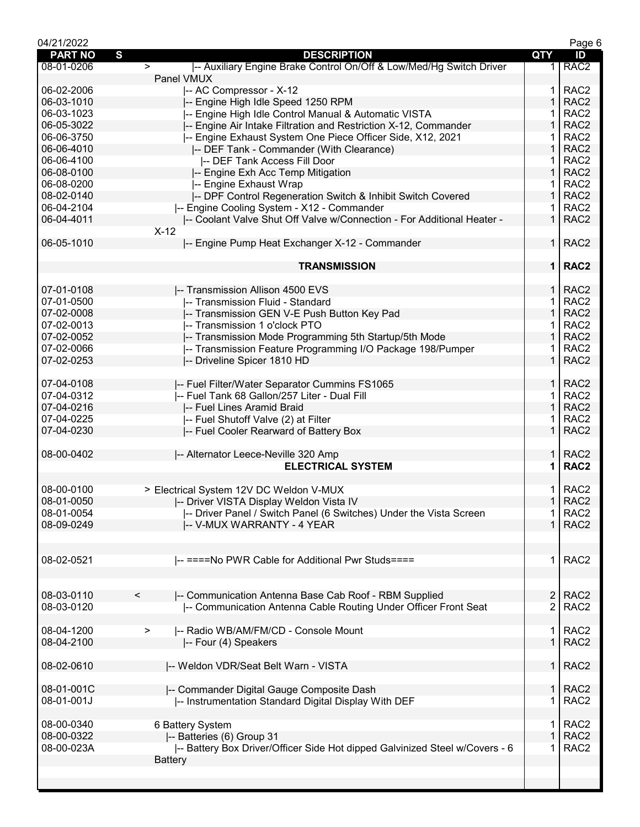| 04/21/2022     |                                                                               |                | Page 6           |
|----------------|-------------------------------------------------------------------------------|----------------|------------------|
| <b>PART NO</b> | S<br><b>DESCRIPTION</b>                                                       | QTY            | ID               |
| 08-01-0206     | -- Auxiliary Engine Brake Control On/Off & Low/Med/Hg Switch Driver<br>$\geq$ | 1 <sup>1</sup> | RAC <sub>2</sub> |
|                | Panel VMUX                                                                    |                |                  |
|                |                                                                               |                |                  |
| 06-02-2006     | -- AC Compressor - X-12                                                       | 1              | RAC <sub>2</sub> |
| 06-03-1010     | -- Engine High Idle Speed 1250 RPM                                            | $\mathbf{1}$   | RAC <sub>2</sub> |
| 06-03-1023     | -- Engine High Idle Control Manual & Automatic VISTA                          |                | RAC <sub>2</sub> |
| 06-05-3022     | -- Engine Air Intake Filtration and Restriction X-12, Commander               | $\mathbf{1}$   | RAC <sub>2</sub> |
| 06-06-3750     | -- Engine Exhaust System One Piece Officer Side, X12, 2021                    | 1              | RAC <sub>2</sub> |
|                |                                                                               |                |                  |
| 06-06-4010     | -- DEF Tank - Commander (With Clearance)                                      | 1              | RAC <sub>2</sub> |
| 06-06-4100     | -- DEF Tank Access Fill Door                                                  |                | RAC <sub>2</sub> |
| 06-08-0100     | -- Engine Exh Acc Temp Mitigation                                             | 1              | RAC <sub>2</sub> |
| 06-08-0200     | -- Engine Exhaust Wrap                                                        | 1              | RAC <sub>2</sub> |
| 08-02-0140     |                                                                               | $\mathbf 1$    | RAC <sub>2</sub> |
|                | -- DPF Control Regeneration Switch & Inhibit Switch Covered                   |                |                  |
| 06-04-2104     | -- Engine Cooling System - X12 - Commander                                    | 1              | RAC <sub>2</sub> |
| 06-04-4011     | -- Coolant Valve Shut Off Valve w/Connection - For Additional Heater -        | $\mathbf{1}$   | RAC <sub>2</sub> |
|                | $X-12$                                                                        |                |                  |
| 06-05-1010     | -- Engine Pump Heat Exchanger X-12 - Commander                                | 1 <sup>1</sup> | RAC <sub>2</sub> |
|                |                                                                               |                |                  |
|                |                                                                               |                |                  |
|                | <b>TRANSMISSION</b>                                                           | $\mathbf 1$    | RAC <sub>2</sub> |
|                |                                                                               |                |                  |
| 07-01-0108     | -- Transmission Allison 4500 EVS                                              | $\mathbf{1}$   | RAC <sub>2</sub> |
| 07-01-0500     | -- Transmission Fluid - Standard                                              | 1              | RAC <sub>2</sub> |
|                |                                                                               |                |                  |
| 07-02-0008     | -- Transmission GEN V-E Push Button Key Pad                                   | $\mathbf{1}$   | RAC <sub>2</sub> |
| 07-02-0013     | -- Transmission 1 o'clock PTO                                                 | 1              | RAC <sub>2</sub> |
| 07-02-0052     | -- Transmission Mode Programming 5th Startup/5th Mode                         | $\mathbf{1}$   | RAC <sub>2</sub> |
| 07-02-0066     | -- Transmission Feature Programming I/O Package 198/Pumper                    |                | RAC <sub>2</sub> |
| 07-02-0253     |                                                                               | $\mathbf 1$    | RAC <sub>2</sub> |
|                | -- Driveline Spicer 1810 HD                                                   |                |                  |
|                |                                                                               |                |                  |
| 07-04-0108     | -- Fuel Filter/Water Separator Cummins FS1065                                 | $\mathbf{1}$   | RAC <sub>2</sub> |
| 07-04-0312     | -- Fuel Tank 68 Gallon/257 Liter - Dual Fill                                  | 1              | RAC <sub>2</sub> |
| 07-04-0216     | -- Fuel Lines Aramid Braid                                                    | $\mathbf{1}$   | RAC <sub>2</sub> |
|                |                                                                               |                |                  |
| 07-04-0225     | -- Fuel Shutoff Valve (2) at Filter                                           | 1              | RAC <sub>2</sub> |
| 07-04-0230     | -- Fuel Cooler Rearward of Battery Box                                        | $\mathbf{1}$   | RAC <sub>2</sub> |
|                |                                                                               |                |                  |
| 08-00-0402     | -- Alternator Leece-Neville 320 Amp                                           | 1.             | RAC <sub>2</sub> |
|                | <b>ELECTRICAL SYSTEM</b>                                                      | 1              | RAC <sub>2</sub> |
|                |                                                                               |                |                  |
|                |                                                                               |                |                  |
| 08-00-0100     | > Electrical System 12V DC Weldon V-MUX                                       | 1.             | RAC <sub>2</sub> |
| 08-01-0050     | -- Driver VISTA Display Weldon Vista IV                                       | $\mathbf{1}$   | RAC <sub>2</sub> |
| 08-01-0054     | -- Driver Panel / Switch Panel (6 Switches) Under the Vista Screen            | 1              | RAC <sub>2</sub> |
| 08-09-0249     | -- V-MUX WARRANTY - 4 YEAR                                                    | $\mathbf{1}$   | RAC <sub>2</sub> |
|                |                                                                               |                |                  |
|                |                                                                               |                |                  |
|                |                                                                               |                |                  |
| 08-02-0521     | -- ==== No PWR Cable for Additional Pwr Studs====                             | 1.             | RAC <sub>2</sub> |
|                |                                                                               |                |                  |
|                |                                                                               |                |                  |
|                |                                                                               |                |                  |
| 08-03-0110     | -- Communication Antenna Base Cab Roof - RBM Supplied<br>$\,<\,$              | $\overline{2}$ | RAC <sub>2</sub> |
| 08-03-0120     | -- Communication Antenna Cable Routing Under Officer Front Seat               | $\overline{2}$ | RAC <sub>2</sub> |
|                |                                                                               |                |                  |
| 08-04-1200     | -- Radio WB/AM/FM/CD - Console Mount<br>>                                     | 1              | RAC <sub>2</sub> |
| 08-04-2100     | -- Four (4) Speakers                                                          | $\mathbf 1$    | RAC <sub>2</sub> |
|                |                                                                               |                |                  |
|                |                                                                               |                |                  |
| 08-02-0610     | -- Weldon VDR/Seat Belt Warn - VISTA                                          | $\mathbf{1}$   | RAC <sub>2</sub> |
|                |                                                                               |                |                  |
| 08-01-001C     | -- Commander Digital Gauge Composite Dash                                     | $\mathbf 1$    | RAC <sub>2</sub> |
| 08-01-001J     |                                                                               | 1              | RAC <sub>2</sub> |
|                | -- Instrumentation Standard Digital Display With DEF                          |                |                  |
|                |                                                                               |                |                  |
| 08-00-0340     | 6 Battery System                                                              | 1              | RAC <sub>2</sub> |
| 08-00-0322     | -- Batteries (6) Group 31                                                     |                | RAC <sub>2</sub> |
| 08-00-023A     | -- Battery Box Driver/Officer Side Hot dipped Galvinized Steel w/Covers - 6   |                | RAC <sub>2</sub> |
|                |                                                                               |                |                  |
|                | <b>Battery</b>                                                                |                |                  |
|                |                                                                               |                |                  |
|                |                                                                               |                |                  |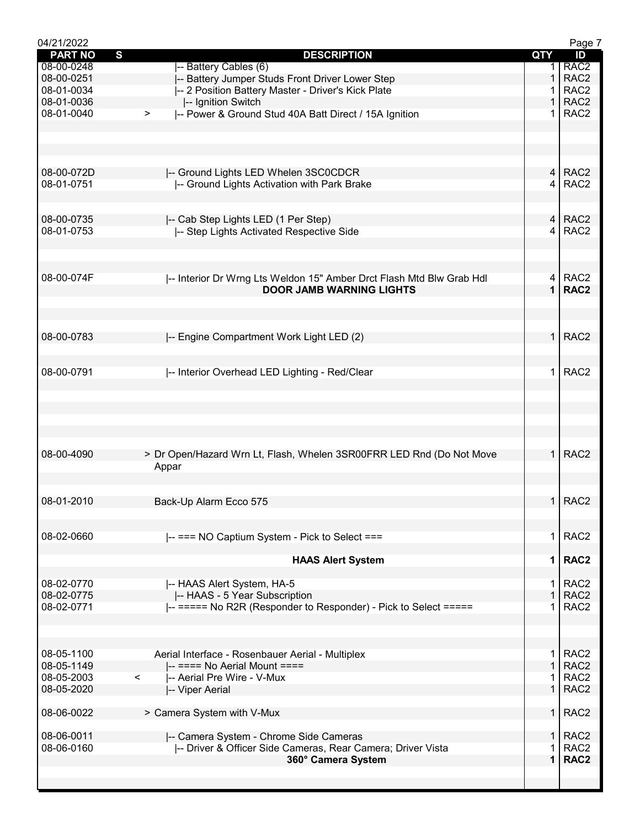| 04/21/2022               |                                                                      |                | Page 7                               |
|--------------------------|----------------------------------------------------------------------|----------------|--------------------------------------|
| <b>PART NO</b>           | $\mathbf{s}$<br><b>DESCRIPTION</b>                                   | <b>QTY</b>     | ID                                   |
| 08-00-0248               | -- Battery Cables (6)                                                |                | RAC <sub>2</sub>                     |
| 08-00-0251               | -- Battery Jumper Studs Front Driver Lower Step                      | 1              | RAC <sub>2</sub>                     |
| 08-01-0034               | -- 2 Position Battery Master - Driver's Kick Plate                   |                | RAC <sub>2</sub>                     |
| 08-01-0036               | -- Ignition Switch                                                   | 1              | RAC <sub>2</sub>                     |
| 08-01-0040               | -- Power & Ground Stud 40A Batt Direct / 15A Ignition<br>$\geq$      |                | RAC <sub>2</sub>                     |
|                          |                                                                      |                |                                      |
|                          |                                                                      |                |                                      |
|                          |                                                                      |                |                                      |
|                          |                                                                      |                |                                      |
| 08-00-072D               | -- Ground Lights LED Whelen 3SC0CDCR                                 |                | 4   RAC2                             |
| 08-01-0751               | -- Ground Lights Activation with Park Brake                          | 4              | RAC <sub>2</sub>                     |
|                          |                                                                      |                |                                      |
|                          |                                                                      |                |                                      |
| 08-00-0735               | -- Cab Step Lights LED (1 Per Step)                                  |                | $4$ RAC2                             |
| 08-01-0753               | -- Step Lights Activated Respective Side                             | 4              | RAC <sub>2</sub>                     |
|                          |                                                                      |                |                                      |
|                          |                                                                      |                |                                      |
|                          |                                                                      |                |                                      |
| 08-00-074F               | -- Interior Dr Wrng Lts Weldon 15" Amber Drct Flash Mtd Blw Grab Hdl | 4              | RAC <sub>2</sub>                     |
|                          | <b>DOOR JAMB WARNING LIGHTS</b>                                      | $\mathbf{1}$   | RAC <sub>2</sub>                     |
|                          |                                                                      |                |                                      |
|                          |                                                                      |                |                                      |
|                          |                                                                      |                |                                      |
| 08-00-0783               | -- Engine Compartment Work Light LED (2)                             | $\mathbf{1}$   | RAC <sub>2</sub>                     |
|                          |                                                                      |                |                                      |
|                          |                                                                      |                |                                      |
| 08-00-0791               | -- Interior Overhead LED Lighting - Red/Clear                        | 1.             | RAC <sub>2</sub>                     |
|                          |                                                                      |                |                                      |
|                          |                                                                      |                |                                      |
|                          |                                                                      |                |                                      |
|                          |                                                                      |                |                                      |
|                          |                                                                      |                |                                      |
|                          |                                                                      |                |                                      |
| 08-00-4090               | > Dr Open/Hazard Wrn Lt, Flash, Whelen 3SR00FRR LED Rnd (Do Not Move | 1 <sup>1</sup> | RAC <sub>2</sub>                     |
|                          | Appar                                                                |                |                                      |
|                          |                                                                      |                |                                      |
|                          |                                                                      |                |                                      |
| 08-01-2010               | Back-Up Alarm Ecco 575                                               |                | $1$ RAC2                             |
|                          |                                                                      |                |                                      |
|                          |                                                                      |                |                                      |
| 08-02-0660               | -- === NO Captium System - Pick to Select ===                        | 1 <sup>1</sup> | RAC <sub>2</sub>                     |
|                          |                                                                      |                |                                      |
|                          | <b>HAAS Alert System</b>                                             | $\mathbf 1$    | RAC <sub>2</sub>                     |
|                          |                                                                      |                |                                      |
| 08-02-0770               | -- HAAS Alert System, HA-5                                           | 1.             | RAC <sub>2</sub>                     |
| 08-02-0775               | -- HAAS - 5 Year Subscription                                        | $\mathbf 1$    | RAC <sub>2</sub>                     |
| 08-02-0771               | -- ===== No R2R (Responder to Responder) - Pick to Select =====      |                | RAC <sub>2</sub>                     |
|                          |                                                                      |                |                                      |
|                          |                                                                      |                |                                      |
|                          |                                                                      |                | RAC <sub>2</sub>                     |
| 08-05-1100               | Aerial Interface - Rosenbauer Aerial - Multiplex                     | 1.             |                                      |
| 08-05-1149               | $\left  \text{---} \right $ ==== No Aerial Mount ====                | 1              | RAC <sub>2</sub>                     |
| 08-05-2003               | -- Aerial Pre Wire - V-Mux<br>$\lt$                                  | 1              | RAC <sub>2</sub>                     |
| 08-05-2020               | -- Viper Aerial                                                      |                | RAC <sub>2</sub>                     |
|                          |                                                                      |                |                                      |
| 08-06-0022               | > Camera System with V-Mux                                           | 1 <sup>1</sup> | RAC <sub>2</sub>                     |
|                          |                                                                      |                |                                      |
| 08-06-0011<br>08-06-0160 | -- Camera System - Chrome Side Cameras                               | 1 <sup>1</sup> | RAC <sub>2</sub><br>RAC <sub>2</sub> |
|                          | -- Driver & Officer Side Cameras, Rear Camera; Driver Vista          |                |                                      |
|                          | 360° Camera System                                                   | 1              | RAC <sub>2</sub>                     |
|                          |                                                                      |                |                                      |
|                          |                                                                      |                |                                      |